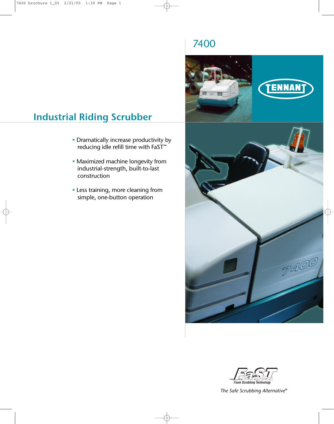# 7400





## *The Safe Scrubbing Alternative®*

# **Industrial Riding Scrubber**

- Dramatically increase productivity by reducing idle refill time with FaST™
- Maximized machine longevity from industrial-strength, built-to-last construction
- Less training, more cleaning from simple, one-button operation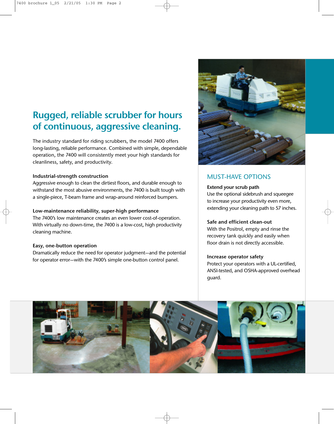# **Rugged, reliable scrubber for hours of continuous, aggressive cleaning.**

The industry standard for riding scrubbers, the model 7400 offers long-lasting, reliable performance. Combined with simple, dependable operation, the 7400 will consistently meet your high standards for cleanliness, safety, and productivity.

### **Industrial-strength construction**

Aggressive enough to clean the dirtiest floors, and durable enough to withstand the most abusive environments, the 7400 is built tough with a single-piece, T-beam frame and wrap-around reinforced bumpers.

### **Low-maintenance reliability, super-high performance**

The 7400's low maintenance creates an even lower cost-of-operation. With virtually no down-time, the 7400 is a low-cost, high productivity cleaning machine.

### **Easy, one-button operation**

Dramatically reduce the need for operator judgment—and the potential for operator error—with the 7400's simple one-button control panel.



## MUST-HAVE OPTIONS

### **Extend your scrub path**

Use the optional sidebrush and squeegee to increase your productivity even more, extending your cleaning path to 57 inches.

### **Safe and efficient clean-out**

With the Positrol, empty and rinse the recovery tank quickly and easily when floor drain is not directly accessible.

### **Increase operator safety**

Protect your operators with a UL-certified, ANSI-tested, and OSHA-approved overhead guard.

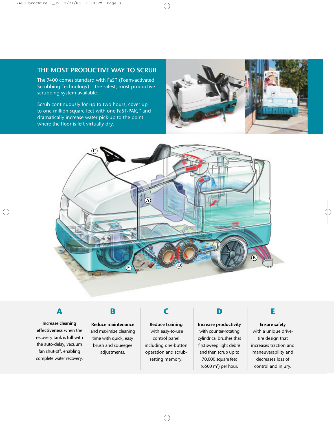## **THE MOST PRODUCTIVE WAY TO SCRUB**

The 7400 comes standard with FaST (Foam-activated Scrubbing Technology) – the safest, most productive scrubbing system available.

Scrub continuously for up to two hours, cover up to one million square feet with one FaST-PAK,™ and dramatically increase water pick-up to the point where the floor is left virtually dry.





**Increase cleaning effectiveness** when the recovery tank is full with the auto-delay, vacuum fan shut-off, enabling complete water recovery.

**Reduce maintenance** and maximize cleaning time with quick, easy brush and squeegee adjustments.

**Reduce training** with easy-to-use control panel including one-button operation and scrubsetting memory.

**Increase productivity** with counter-rotating cylindrical brushes that first sweep light debris and then scrub up to 70,000 square feet  $(6500 \text{ m}^2)$  per hour.

# ABCDE

**Ensure safety**  with a unique drivetire design that increases traction and maneuverability and decreases loss of control and injury.